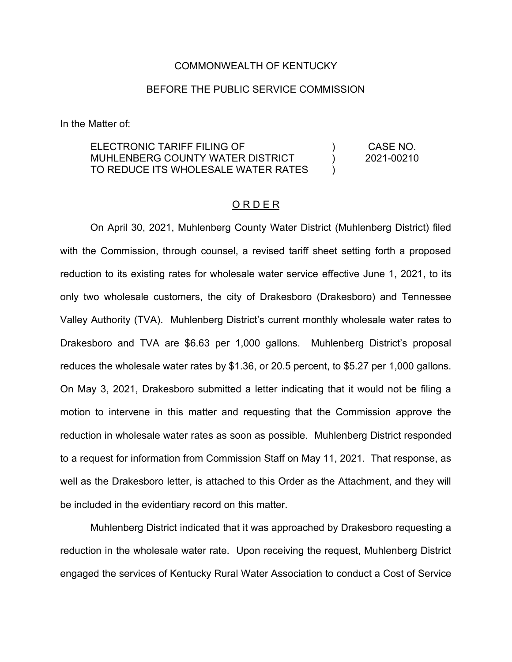#### COMMONWEALTH OF KENTUCKY

#### BEFORE THE PUBLIC SERVICE COMMISSION

In the Matter of:

ELECTRONIC TARIFF FILING OF MUHLENBERG COUNTY WATER DISTRICT TO REDUCE ITS WHOLESALE WATER RATES  $\lambda$  $\lambda$  $\lambda$ CASE NO. 2021-00210

#### O R D E R

On April 30, 2021, Muhlenberg County Water District (Muhlenberg District) filed with the Commission, through counsel, a revised tariff sheet setting forth a proposed reduction to its existing rates for wholesale water service effective June 1, 2021, to its only two wholesale customers, the city of Drakesboro (Drakesboro) and Tennessee Valley Authority (TVA). Muhlenberg District's current monthly wholesale water rates to Drakesboro and TVA are \$6.63 per 1,000 gallons. Muhlenberg District's proposal reduces the wholesale water rates by \$1.36, or 20.5 percent, to \$5.27 per 1,000 gallons. On May 3, 2021, Drakesboro submitted a letter indicating that it would not be filing a motion to intervene in this matter and requesting that the Commission approve the reduction in wholesale water rates as soon as possible. Muhlenberg District responded to a request for information from Commission Staff on May 11, 2021. That response, as well as the Drakesboro letter, is attached to this Order as the Attachment, and they will be included in the evidentiary record on this matter.

Muhlenberg District indicated that it was approached by Drakesboro requesting a reduction in the wholesale water rate. Upon receiving the request, Muhlenberg District engaged the services of Kentucky Rural Water Association to conduct a Cost of Service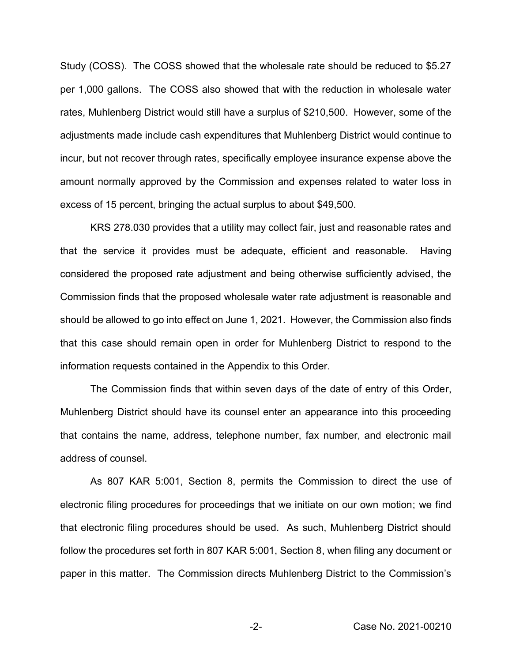Study (COSS). The COSS showed that the wholesale rate should be reduced to \$5.27 per 1,000 gallons. The COSS also showed that with the reduction in wholesale water rates, Muhlenberg District would still have a surplus of \$210,500. However, some of the adjustments made include cash expenditures that Muhlenberg District would continue to incur, but not recover through rates, specifically employee insurance expense above the amount normally approved by the Commission and expenses related to water loss in excess of 15 percent, bringing the actual surplus to about \$49,500.

KRS 278.030 provides that a utility may collect fair, just and reasonable rates and that the service it provides must be adequate, efficient and reasonable. Having considered the proposed rate adjustment and being otherwise sufficiently advised, the Commission finds that the proposed wholesale water rate adjustment is reasonable and should be allowed to go into effect on June 1, 2021. However, the Commission also finds that this case should remain open in order for Muhlenberg District to respond to the information requests contained in the Appendix to this Order.

The Commission finds that within seven days of the date of entry of this Order, Muhlenberg District should have its counsel enter an appearance into this proceeding that contains the name, address, telephone number, fax number, and electronic mail address of counsel.

As 807 KAR 5:001, Section 8, permits the Commission to direct the use of electronic filing procedures for proceedings that we initiate on our own motion; we find that electronic filing procedures should be used. As such, Muhlenberg District should follow the procedures set forth in 807 KAR 5:001, Section 8, when filing any document or paper in this matter. The Commission directs Muhlenberg District to the Commission's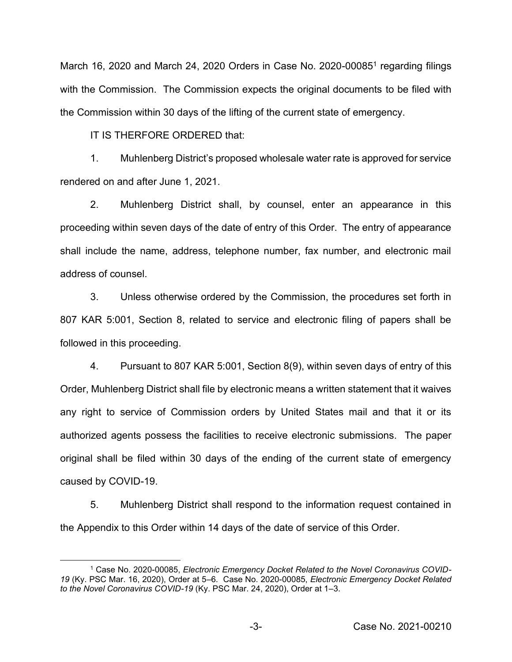March 16, 2020 and March 24, 2020 Orders in Case No. 2020-000851 regarding filings with the Commission. The Commission expects the original documents to be filed with the Commission within 30 days of the lifting of the current state of emergency.

IT IS THERFORE ORDERED that:

1. Muhlenberg District's proposed wholesale water rate is approved for service rendered on and after June 1, 2021.

2. Muhlenberg District shall, by counsel, enter an appearance in this proceeding within seven days of the date of entry of this Order. The entry of appearance shall include the name, address, telephone number, fax number, and electronic mail address of counsel.

3. Unless otherwise ordered by the Commission, the procedures set forth in 807 KAR 5:001, Section 8, related to service and electronic filing of papers shall be followed in this proceeding.

4. Pursuant to 807 KAR 5:001, Section 8(9), within seven days of entry of this Order, Muhlenberg District shall file by electronic means a written statement that it waives any right to service of Commission orders by United States mail and that it or its authorized agents possess the facilities to receive electronic submissions. The paper original shall be filed within 30 days of the ending of the current state of emergency caused by COVID-19.

5. Muhlenberg District shall respond to the information request contained in the Appendix to this Order within 14 days of the date of service of this Order.

<sup>1</sup> Case No. 2020-00085, *Electronic Emergency Docket Related to the Novel Coronavirus COVID-19* (Ky. PSC Mar. 16, 2020), Order at 5–6. Case No. 2020-00085, *Electronic Emergency Docket Related to the Novel Coronavirus COVID-19* (Ky. PSC Mar. 24, 2020), Order at 1–3.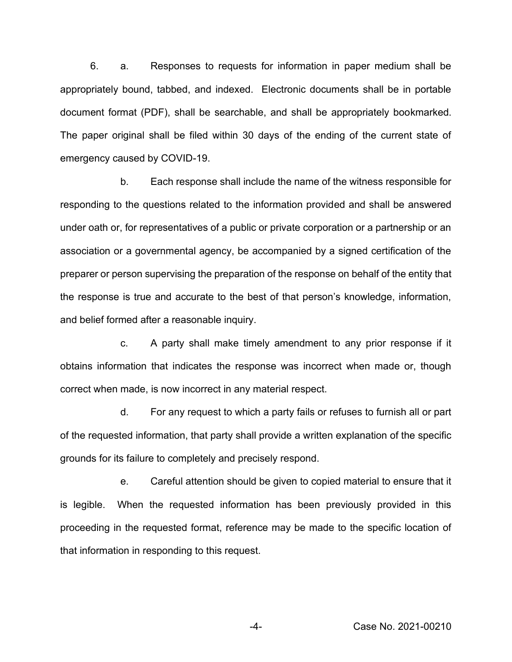6. a. Responses to requests for information in paper medium shall be appropriately bound, tabbed, and indexed. Electronic documents shall be in portable document format (PDF), shall be searchable, and shall be appropriately bookmarked. The paper original shall be filed within 30 days of the ending of the current state of emergency caused by COVID-19.

b. Each response shall include the name of the witness responsible for responding to the questions related to the information provided and shall be answered under oath or, for representatives of a public or private corporation or a partnership or an association or a governmental agency, be accompanied by a signed certification of the preparer or person supervising the preparation of the response on behalf of the entity that the response is true and accurate to the best of that person's knowledge, information, and belief formed after a reasonable inquiry.

c. A party shall make timely amendment to any prior response if it obtains information that indicates the response was incorrect when made or, though correct when made, is now incorrect in any material respect.

d. For any request to which a party fails or refuses to furnish all or part of the requested information, that party shall provide a written explanation of the specific grounds for its failure to completely and precisely respond.

e. Careful attention should be given to copied material to ensure that it is legible. When the requested information has been previously provided in this proceeding in the requested format, reference may be made to the specific location of that information in responding to this request.

-4- Case No. 2021-00210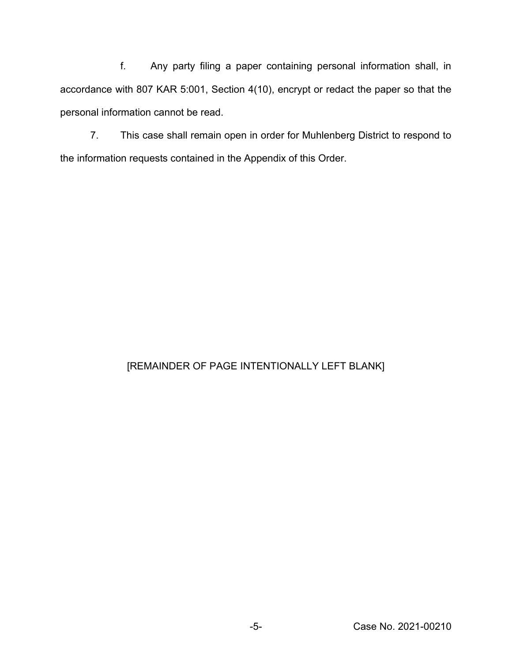f. Any party filing a paper containing personal information shall, in accordance with 807 KAR 5:001, Section 4(10), encrypt or redact the paper so that the personal information cannot be read.

7. This case shall remain open in order for Muhlenberg District to respond to the information requests contained in the Appendix of this Order.

## [REMAINDER OF PAGE INTENTIONALLY LEFT BLANK]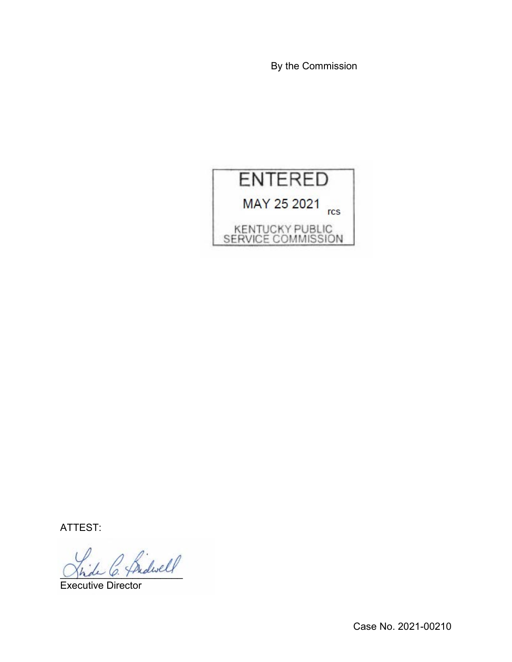By the Commission



ATTEST:

 $\sim$  Sidwell

Executive Director

Case No. 2021-00210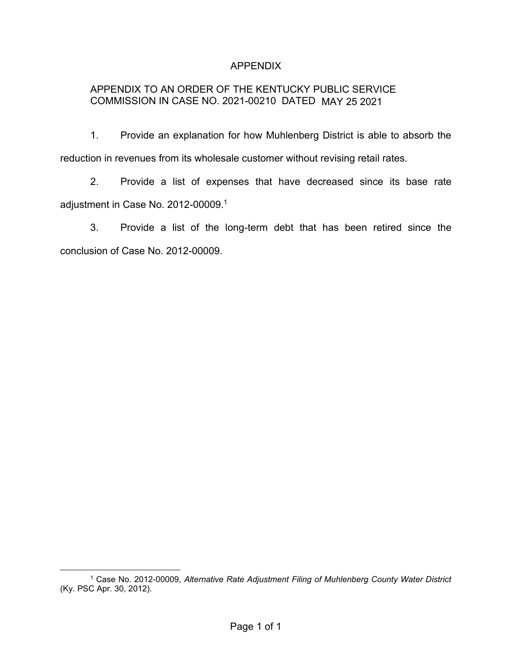## APPENDIX

## APPENDIX TO AN ORDER OF THE KENTUCKY PUBLIC SERVICE COMMISSION IN CASE NO. 2021-00210 DATED MAY 25 2021

1. Provide an explanation for how Muhlenberg District is able to absorb the reduction in revenues from its wholesale customer without revising retail rates.

2. Provide a list of expenses that have decreased since its base rate adjustment in Case No. 2012-00009. 1

3. Provide a list of the long-term debt that has been retired since the conclusion of Case No. 2012-00009.

<sup>1</sup> Case No. 2012-00009, *Alternative Rate Adjustment Filing of Muhlenberg County Water District*  (Ky. PSC Apr. 30, 2012).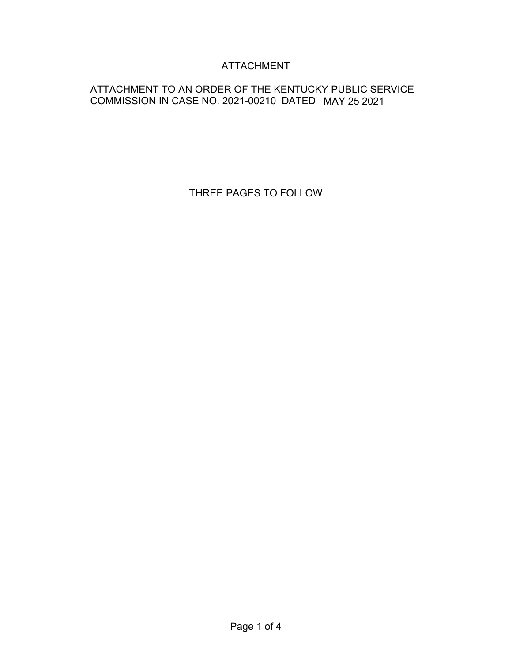# ATTACHMENT

## ATTACHMENT TO AN ORDER OF THE KENTUCKY PUBLIC SERVICE COMMISSION IN CASE NO. 2021-00210 DATED MAY 25 2021

THREE PAGES TO FOLLOW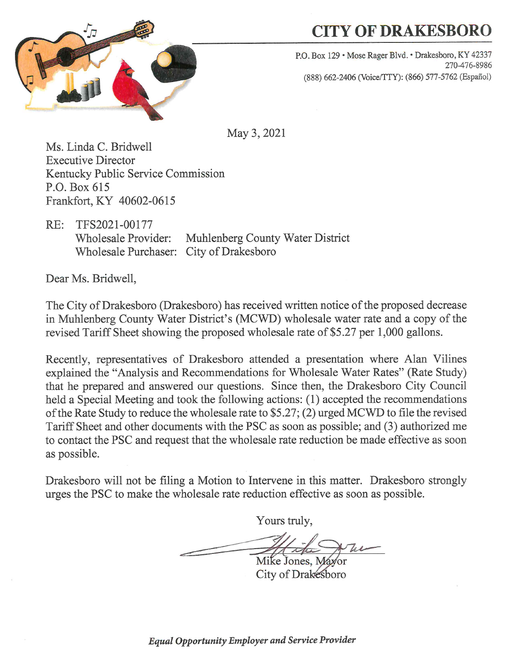

# **CITY OF DRAKESBORO**

P.O. Box 129 · Mose Rager Blvd. · Drakesboro, KY 42337 270-476-8986 (888) 662-2406 (Voice/TTY): (866) 577-5762 (Español)

May 3, 2021

Ms. Linda C. Bridwell **Executive Director** Kentucky Public Service Commission P.O. Box 615 Frankfort, KY 40602-0615

TFS2021-00177  $RE:$ Muhlenberg County Water District **Wholesale Provider:** Wholesale Purchaser: City of Drakesboro

Dear Ms. Bridwell,

The City of Drakesboro (Drakesboro) has received written notice of the proposed decrease in Muhlenberg County Water District's (MCWD) wholesale water rate and a copy of the revised Tariff Sheet showing the proposed wholesale rate of \$5.27 per 1,000 gallons.

Recently, representatives of Drakesboro attended a presentation where Alan Vilines explained the "Analysis and Recommendations for Wholesale Water Rates" (Rate Study) that he prepared and answered our questions. Since then, the Drakesboro City Council held a Special Meeting and took the following actions: (1) accepted the recommendations of the Rate Study to reduce the wholesale rate to \$5.27; (2) urged MCWD to file the revised Tariff Sheet and other documents with the PSC as soon as possible; and (3) authorized me to contact the PSC and request that the wholesale rate reduction be made effective as soon as possible.

Drakesboro will not be filing a Motion to Intervene in this matter. Drakesboro strongly urges the PSC to make the wholesale rate reduction effective as soon as possible.

Yours truly,

Mike Jones, Mayor City of Drakesboro

**Equal Opportunity Employer and Service Provider**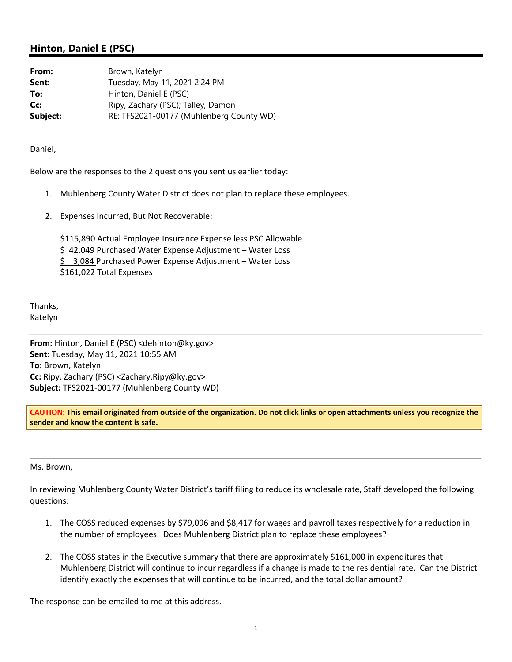#### **Hinton, Daniel E (PSC)**

| From:    | Brown, Katelyn                           |
|----------|------------------------------------------|
| Sent:    | Tuesday, May 11, 2021 2:24 PM            |
| To:      | Hinton, Daniel E (PSC)                   |
| Cc:      | Ripy, Zachary (PSC); Talley, Damon       |
| Subject: | RE: TFS2021-00177 (Muhlenberg County WD) |

Daniel,

Below are the responses to the 2 questions you sent us earlier today:

- 1. Muhlenberg County Water District does not plan to replace these employees.
- 2. Expenses Incurred, But Not Recoverable:

\$115,890 Actual Employee Insurance Expense less PSC Allowable \$ 42,049 Purchased Water Expense Adjustment – Water Loss \$3,084 Purchased Power Expense Adjustment – Water Loss \$161,022 Total Expenses

Thanks, Katelyn

**From:** Hinton, Daniel E (PSC) <dehinton@ky.gov> **Sent:** Tuesday, May 11, 2021 10:55 AM **To:** Brown, Katelyn **Cc:** Ripy, Zachary (PSC) <Zachary.Ripy@ky.gov> **Subject:** TFS2021‐00177 (Muhlenberg County WD)

**CAUTION: This email originated from outside of the organization. Do not click links or open attachments unless you recognize the sender and know the content is safe.** 

Ms. Brown,

In reviewing Muhlenberg County Water District's tariff filing to reduce its wholesale rate, Staff developed the following questions:

- 1. The COSS reduced expenses by \$79,096 and \$8,417 for wages and payroll taxes respectively for a reduction in the number of employees. Does Muhlenberg District plan to replace these employees?
- 2. The COSS states in the Executive summary that there are approximately \$161,000 in expenditures that Muhlenberg District will continue to incur regardless if a change is made to the residential rate. Can the District identify exactly the expenses that will continue to be incurred, and the total dollar amount?

The response can be emailed to me at this address.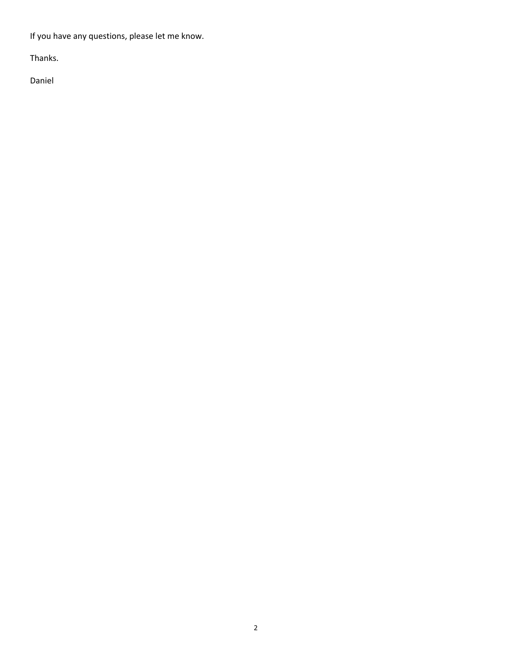If you have any questions, please let me know.

Thanks.

Daniel